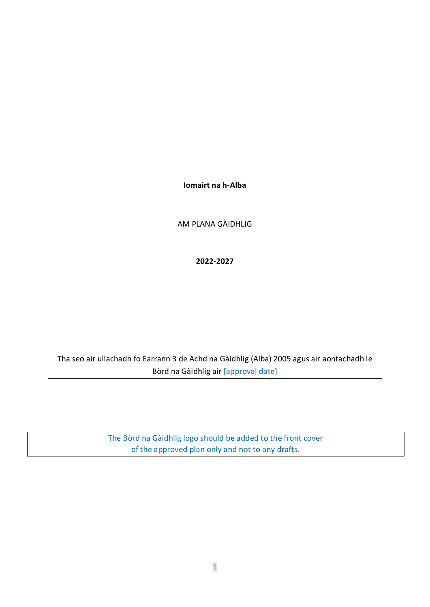**Iomairt na h-Alba**

AM PLANA GÀIDHLIG

**2022-2027**

Tha seo air ullachadh fo Earrann 3 de Achd na Gàidhlig (Alba) 2005 agus air aontachadh le Bòrd na Gàidhlig air [approval date]

> The Bòrd na Gàidhlig logo should be added to the front cover of the approved plan only and not to any drafts.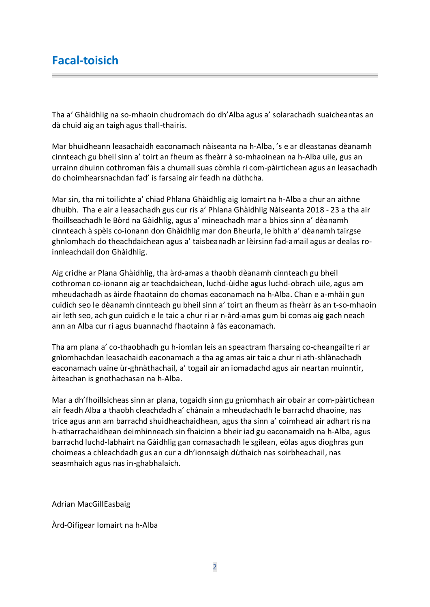# **Facal-toisich**

Tha a' Ghàidhlig na so-mhaoin chudromach do dh'Alba agus a' solarachadh suaicheantas an dà chuid aig an taigh agus thall-thairis.

Mar bhuidheann leasachaidh eaconamach nàiseanta na h-Alba, 's e ar dleastanas dèanamh cinnteach gu bheil sinn a' toirt an fheum as fheàrr à so-mhaoinean na h-Alba uile, gus an urrainn dhuinn cothroman fàis a chumail suas còmhla ri com-pàirtichean agus an leasachadh do choimhearsnachdan fad' is farsaing air feadh na dùthcha.

Mar sin, tha mi toilichte a' chiad Phlana Ghàidhlig aig Iomairt na h-Alba a chur an aithne dhuibh. Tha e air a leasachadh gus cur ris a' Phlana Ghàidhlig Nàiseanta 2018 - 23 a tha air fhoillseachadh le Bòrd na Gàidhlig, agus a' mìneachadh mar a bhios sinn a' dèanamh cinnteach à spèis co-ionann don Ghàidhlig mar don Bheurla, le bhith a' dèanamh tairgse ghnìomhach do theachdaichean agus a' taisbeanadh ar lèirsinn fad-amail agus ar dealas roinnleachdail don Ghàidhlig.

Aig cridhe ar Plana Ghàidhlig, tha àrd-amas a thaobh dèanamh cinnteach gu bheil cothroman co-ionann aig ar teachdaichean, luchd-ùidhe agus luchd-obrach uile, agus am mheudachadh as àirde fhaotainn do chomas eaconamach na h-Alba. Chan e a-mhàin gun cuidich seo le dèanamh cinnteach gu bheil sinn a' toirt an fheum as fheàrr às an t-so-mhaoin air leth seo, ach gun cuidich e le taic a chur ri ar n-àrd-amas gum bi comas aig gach neach ann an Alba cur ri agus buannachd fhaotainn à fàs eaconamach.

Tha am plana a' co-thaobhadh gu h-iomlan leis an speactram fharsaing co-cheangailte ri ar gnìomhachdan leasachaidh eaconamach a tha ag amas air taic a chur ri ath-shlànachadh eaconamach uaine ùr-ghnàthachail, a' togail air an iomadachd agus air neartan muinntir, àiteachan is gnothachasan na h-Alba.

Mar a dh'fhoillsicheas sinn ar plana, togaidh sinn gu gnìomhach air obair ar com-pàirtichean air feadh Alba a thaobh cleachdadh a' chànain a mheudachadh le barrachd dhaoine, nas trice agus ann am barrachd shuidheachaidhean, agus tha sinn a' coimhead air adhart ris na h-atharrachaidhean deimhinneach sin fhaicinn a bheir iad gu eaconamaidh na h-Alba, agus barrachd luchd-labhairt na Gàidhlig gan comasachadh le sgilean, eòlas agus dìoghras gun choimeas a chleachdadh gus an cur a dh'ionnsaigh dùthaich nas soirbheachail, nas seasmhaich agus nas in-ghabhalaich.

Adrian MacGillEasbaig

Àrd-Oifigear Iomairt na h-Alba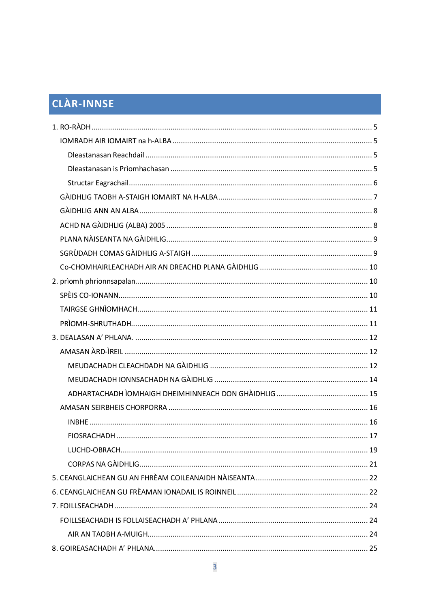# CLÀR-INNSE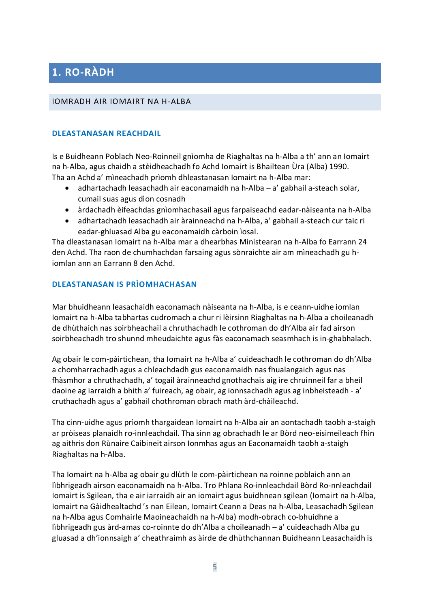# <span id="page-4-0"></span>**1. RO-RÀDH**

#### <span id="page-4-1"></span>IOMRADH AIR IOMAIRT NA H-ALBA

#### <span id="page-4-2"></span>**DLEASTANASAN REACHDAIL**

Is e Buidheann Poblach Neo-Roinneil gnìomha de Riaghaltas na h-Alba a th' ann an Iomairt na h-Alba, agus chaidh a stèidheachadh fo Achd Iomairt is Bhailtean Ùra (Alba) 1990. Tha an Achd a' mìneachadh prìomh dhleastanasan Iomairt na h-Alba mar:

- adhartachadh leasachadh air eaconamaidh na h-Alba a' gabhail a-steach solar, cumail suas agus dìon cosnadh
- àrdachadh èifeachdas gnìomhachasail agus farpaiseachd eadar-nàiseanta na h-Alba
- adhartachadh leasachadh air àrainneachd na h-Alba, a' gabhail a-steach cur taic ri eadar-ghluasad Alba gu eaconamaidh càrboin ìosal.

Tha dleastanasan Iomairt na h-Alba mar a dhearbhas Ministearan na h-Alba fo Earrann 24 den Achd. Tha raon de chumhachdan farsaing agus sònraichte air am mìneachadh gu hiomlan ann an Earrann 8 den Achd.

#### <span id="page-4-3"></span>**DLEASTANASAN IS PRÌOMHACHASAN**

Mar bhuidheann leasachaidh eaconamach nàiseanta na h-Alba, is e ceann-uidhe iomlan Iomairt na h-Alba tabhartas cudromach a chur ri lèirsinn Riaghaltas na h-Alba a choileanadh de dhùthaich nas soirbheachail a chruthachadh le cothroman do dh'Alba air fad airson soirbheachadh tro shunnd mheudaichte agus fàs eaconamach seasmhach is in-ghabhalach.

Ag obair le com-pàirtichean, tha Iomairt na h-Alba a' cuideachadh le cothroman do dh'Alba a chomharrachadh agus a chleachdadh gus eaconamaidh nas fhualangaich agus nas fhàsmhor a chruthachadh, a' togail àrainneachd gnothachais aig ìre chruinneil far a bheil daoine ag iarraidh a bhith a' fuireach, ag obair, ag ionnsachadh agus ag inbheisteadh - a' cruthachadh agus a' gabhail chothroman obrach math àrd-chàileachd.

Tha cinn-uidhe agus prìomh thargaidean Iomairt na h-Alba air an aontachadh taobh a-staigh ar pròiseas planaidh ro-innleachdail. Tha sinn ag obrachadh le ar Bòrd neo-eisimeileach fhìn ag aithris don Rùnaire Caibineit airson Ionmhas agus an Eaconamaidh taobh a-staigh Riaghaltas na h-Alba.

Tha Iomairt na h-Alba ag obair gu dlùth le com-pàirtichean na roinne poblaich ann an lìbhrigeadh airson eaconamaidh na h-Alba. Tro Phlana Ro-innleachdail Bòrd Ro-nnleachdail Iomairt is Sgilean, tha e air iarraidh air an iomairt agus buidhnean sgilean (Iomairt na h-Alba, Iomairt na Gàidhealtachd 's nan Eilean, Iomairt Ceann a Deas na h-Alba, Leasachadh Sgilean na h-Alba agus Comhairle Maoineachaidh na h-Alba) modh-obrach co-bhuidhne a lìbhrigeadh gus àrd-amas co-roinnte do dh'Alba a choileanadh – a' cuideachadh Alba gu gluasad a dh'ionnsaigh a' cheathraimh as àirde de dhùthchannan Buidheann Leasachaidh is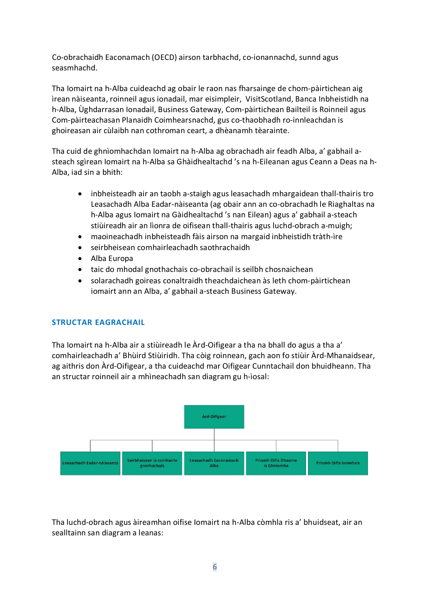Co-obrachaidh Eaconamach (OECD) airson tarbhachd, co-ionannachd, sunnd agus seasmhachd.

Tha Iomairt na h-Alba cuideachd ag obair le raon nas fharsainge de chom-pàirtichean aig ìrean nàiseanta, roinneil agus ionadail, mar eisimpleir, VisitScotland, Banca Inbheistidh na h-Alba, Ùghdarrasan Ionadail, Business Gateway, Com-pàirtichean Bailteil is Roinneil agus Com-pàirteachasan Planaidh Coimhearsnachd, gus co-thaobhadh ro-innleachdan is ghoireasan air cùlaibh nan cothroman ceart, a dhèanamh tèarainte.

Tha cuid de ghnìomhachdan Iomairt na h-Alba ag obrachadh air feadh Alba, a' gabhail asteach sgìrean Iomairt na h-Alba sa Ghàidhealtachd 's na h-Eileanan agus Ceann a Deas na h-Alba, iad sin a bhith:

- inbheisteadh air an taobh a-staigh agus leasachadh mhargaidean thall-thairis tro Leasachadh Alba Eadar-nàiseanta (ag obair ann an co-obrachadh le Riaghaltas na h-Alba agus Iomairt na Gàidhealtachd 's nan Eilean) agus a' gabhail a-steach stiùireadh air an lìonra de oifisean thall-thairis agus luchd-obrach a-muigh;
- maoineachadh inbheisteadh fàis airson na margaid inbheistidh tràth-ìre
- seirbheisean comhairleachadh saothrachaidh
- Alba Europa
- taic do mhodal gnothachais co-obrachail is seilbh chosnaichean
- solarachadh goireas conaltraidh theachdaichean às leth chom-pàirtichean iomairt ann an Alba, a' gabhail a-steach Business Gateway.

### <span id="page-5-0"></span>**STRUCTAR EAGRACHAIL**

Tha Iomairt na h-Alba air a stiùireadh le Àrd-Oifigear a tha na bhall do agus a tha a' comhairleachadh a' Bhùird Stiùiridh. Tha còig roinnean, gach aon fo stiùir Àrd-Mhanaidsear, ag aithris don Àrd-Oifigear, a tha cuideachd mar Oifigear Cunntachail don bhuidheann. Tha an structar roinneil air a mhìneachadh san diagram gu h-ìosal:



Tha luchd-obrach agus àireamhan oifise Iomairt na h-Alba còmhla ris a' bhuidseat, air an sealltainn san diagram a leanas: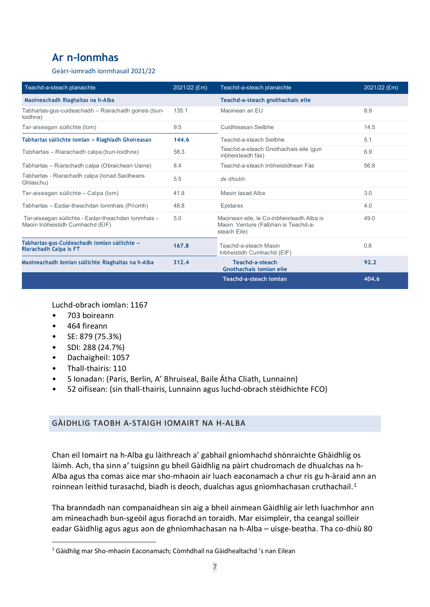# **Ar n-Ionmhas**

Geàrr-iomradh ionmhasail 2021/22

| Teachd-a-steach planaichte                                                              | 2021/22 (£m) | Teachd-a-steach planaichte                                                                       | 2021/22 (£m) |
|-----------------------------------------------------------------------------------------|--------------|--------------------------------------------------------------------------------------------------|--------------|
| Maoineachadh Riaghaltas na h-Alba                                                       |              | Teachd-a-steach gnothachais eile                                                                 |              |
| Tabhartas-gus-cuideachadh - Riarachadh goireis (bun-<br>loidhne)                        | 135.1        | Maoinean an EU                                                                                   | 8.9          |
| Tar-aiseagan sùilichte (Iom)                                                            | 9.5          | Cuidhteasan Seilbhe                                                                              | 14.5         |
| Tabhartas sùilichte iomlan - Riaghladh Ghoireasan                                       | 144.6        | Teachd-a-steach Seilbhe                                                                          | 5.1          |
| Tabhartas - Riarachadh calpa (bun-loidhne)                                              | 58.3         | Teachd-a-steach Gnothachais eile (gun<br>inbheisteadh fàs)                                       | 6.9          |
| Tabhartas – Riarachadh calpa (Obraichean Uaine)                                         | 8.4          | Teachd-a-steach Inbheistidhean Fàs                                                               | 56.8         |
| Tabhartas - Riarachadh calpa (Ionad Saidheans<br>Ghlaschu)                              | 5.5          | de dhiubh:                                                                                       |              |
| Tar-aiseagan sùilichte - Calpa (lom)                                                    | 41.8         | Maoin Jasad Alba                                                                                 | 3.0          |
| Tabhartas - Eadar-theachdan Ionmhais (Prìomh)                                           | 48.8         | Epidarex                                                                                         | 4.0          |
| Tar-aiseagan sùilichte - Eadar-theachdan Ionmhais -<br>Maoin Inbheistidh Cumhachd (EIF) | 5.0          | Maoinean eile. le Co-inbheisteadh Alba is<br>Maoin Venture (Falbhan is Teachd-a-<br>steach Eile) | 49.0         |
| Tabhartas-gus-Cuideachadh iomlan sùilichte -<br>Riarachadh Calpa is FT                  | 167.8        | Teachd-a-steach Maoin<br>Inbheistidh Cumhachd (EIF)                                              | 0.8          |
| Maoineachadh Iomlan sùilichte Riaghaltas na h-Alba                                      | 312.4        | Teachd-a-steach<br>Gnothachais jomlan eile                                                       | 92.2         |
|                                                                                         |              | Teachd-a-steach iomlan                                                                           | 404.6        |

Luchd-obrach iomlan: 1167

- 703 boireann
- 464 fireann
- SE: 879 (75.3%)
- SDI: 288 (24.7%)
- Dachaigheil: 1057
- Thall-thairis: 110
- 5 Ionadan: (Paris, Berlin, A' Bhruiseal, Baile Átha Cliath, Lunnainn)
- 52 oifisean: (sin thall-thairis, Lunnainn agus luchd-obrach stèidhichte FCO)

### <span id="page-6-0"></span>GÀIDHLIG TAOBH A-STAIGH IOMAIRT NA H-ALBA

Chan eil Iomairt na h-Alba gu làithreach a' gabhail gnìomhachd shònraichte Ghàidhlig os làimh. Ach, tha sinn a' tuigsinn gu bheil Gàidhlig na pàirt chudromach de dhualchas na h-Alba agus tha comas aice mar sho-mhaoin air luach eaconamach a chur ris gu h-àraid ann an roinnean leithid turasachd, biadh is deoch, dualchas agus gnìomhachasan cruthachail.<sup>1</sup>

Tha branndadh nan companaidhean sin aig a bheil ainmean Gàidhlig air leth luachmhor ann am mìneachadh bun-sgeòil agus fìorachd an toraidh. Mar eisimpleir, tha ceangal soilleir eadar Gàidhlig agus agus aon de ghnìomhachasan na h-Alba – uisge-beatha. Tha co-dhiù 80

<span id="page-6-1"></span><sup>&</sup>lt;sup>1</sup> Gàidhlig mar Sho-mhaoin Eaconamach; Còmhdhail na Gàidhealtachd 's nan Eilean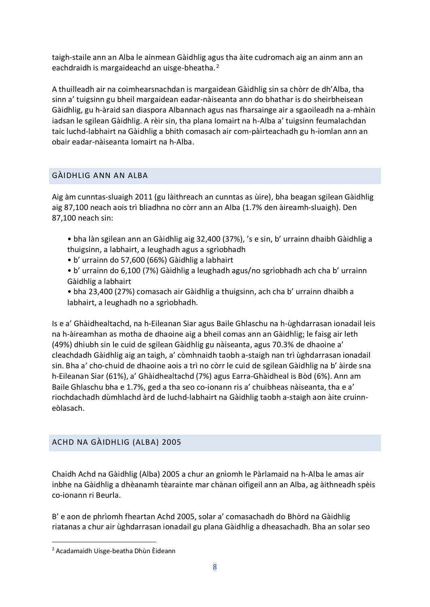taigh-staile ann an Alba le ainmean Gàidhlig agus tha àite cudromach aig an ainm ann an eachdraidh is margaideachd an uisge-bheatha.<sup>2</sup>

A thuilleadh air na coimhearsnachdan is margaidean Gàidhlig sin sa chòrr de dh'Alba, tha sinn a' tuigsinn gu bheil margaidean eadar-nàiseanta ann do bhathar is do sheirbheisean Gàidhlig, gu h-àraid san diaspora Albannach agus nas fharsainge air a sgaoileadh na a-mhàin iadsan le sgilean Gàidhlig. A rèir sin, tha plana Iomairt na h-Alba a' tuigsinn feumalachdan taic luchd-labhairt na Gàidhlig a bhith comasach air com-pàirteachadh gu h-iomlan ann an obair eadar-nàiseanta Iomairt na h-Alba.

### <span id="page-7-0"></span>GÀIDHLIG ANN AN ALBA

Aig àm cunntas-sluaigh 2011 (gu làithreach an cunntas as ùire), bha beagan sgilean Gàidhlig aig 87,100 neach aois trì bliadhna no còrr ann an Alba (1.7% den àireamh-sluaigh). Den 87,100 neach sin:

- bha làn sgilean ann an Gàidhlig aig 32,400 (37%), 's e sin, b' urrainn dhaibh Gàidhlig a thuigsinn, a labhairt, a leughadh agus a sgrìobhadh
- b' urrainn do 57,600 (66%) Gàidhlig a labhairt
- b' urrainn do 6,100 (7%) Gàidhlig a leughadh agus/no sgrìobhadh ach cha b' urrainn Gàidhlig a labhairt
- bha 23,400 (27%) comasach air Gàidhlig a thuigsinn, ach cha b' urrainn dhaibh a labhairt, a leughadh no a sgrìobhadh.

Is e a' Ghàidhealtachd, na h-Eileanan Siar agus Baile Ghlaschu na h-ùghdarrasan ionadail leis na h-àireamhan as motha de dhaoine aig a bheil comas ann an Gàidhlig; le faisg air leth (49%) dhiubh sin le cuid de sgilean Gàidhlig gu nàiseanta, agus 70.3% de dhaoine a' cleachdadh Gàidhlig aig an taigh, a' còmhnaidh taobh a-staigh nan trì ùghdarrasan ionadail sin. Bha a' cho-chuid de dhaoine aois a trì no còrr le cuid de sgilean Gàidhlig na b' àirde sna h-Eileanan Siar (61%), a' Ghàidhealtachd (7%) agus Earra-Ghàidheal is Bòd (6%). Ann am Baile Ghlaschu bha e 1.7%, ged a tha seo co-ionann ris a' chuibheas nàiseanta, tha e a' riochdachadh dùmhlachd àrd de luchd-labhairt na Gàidhlig taobh a-staigh aon àite cruinneòlasach.

## <span id="page-7-1"></span>ACHD NA GÀIDHLIG (ALBA) 2005

Chaidh Achd na Gàidhlig (Alba) 2005 a chur an gnìomh le Pàrlamaid na h-Alba le amas air inbhe na Gàidhlig a dhèanamh tèarainte mar chànan oifigeil ann an Alba, ag àithneadh spèis co-ionann ri Beurla.

B' e aon de phrìomh fheartan Achd 2005, solar a' comasachadh do Bhòrd na Gàidhlig riatanas a chur air ùghdarrasan ionadail gu plana Gàidhlig a dheasachadh. Bha an solar seo

<span id="page-7-2"></span><sup>2</sup> Acadamaidh Uisge-beatha Dhùn Èideann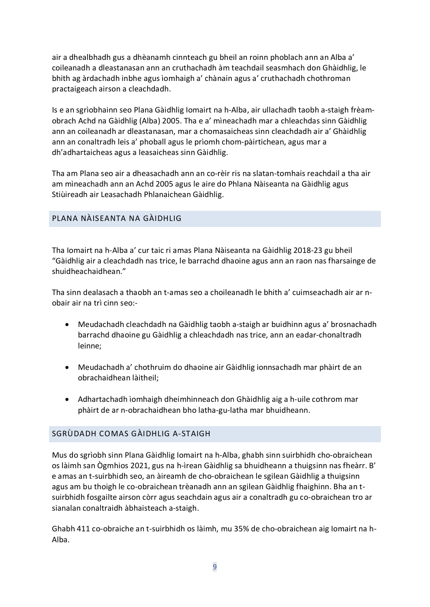air a dhealbhadh gus a dhèanamh cinnteach gu bheil an roinn phoblach ann an Alba a' coileanadh a dleastanasan ann an cruthachadh àm teachdail seasmhach don Ghàidhlig, le bhith ag àrdachadh inbhe agus ìomhaigh a' chànain agus a' cruthachadh chothroman practaigeach airson a cleachdadh.

Is e an sgrìobhainn seo Plana Gàidhlig Iomairt na h-Alba, air ullachadh taobh a-staigh frèamobrach Achd na Gàidhlig (Alba) 2005. Tha e a' mìneachadh mar a chleachdas sinn Gàidhlig ann an coileanadh ar dleastanasan, mar a chomasaicheas sinn cleachdadh air a' Ghàidhlig ann an conaltradh leis a' phoball agus le prìomh chom-pàirtichean, agus mar a dh'adhartaicheas agus a leasaicheas sinn Gàidhlig.

Tha am Plana seo air a dheasachadh ann an co-rèir ris na slatan-tomhais reachdail a tha air am mìneachadh ann an Achd 2005 agus le aire do Phlana Nàiseanta na Gàidhlig agus Stiùireadh air Leasachadh Phlanaichean Gàidhlig.

## <span id="page-8-0"></span>PLANA NÀISEANTA NA GÀIDHLIG

Tha Iomairt na h-Alba a' cur taic ri amas Plana Nàiseanta na Gàidhlig 2018-23 gu bheil "Gàidhlig air a cleachdadh nas trice, le barrachd dhaoine agus ann an raon nas fharsainge de shuidheachaidhean."

Tha sinn dealasach a thaobh an t-amas seo a choileanadh le bhith a' cuimseachadh air ar nobair air na trì cinn seo:-

- Meudachadh cleachdadh na Gàidhlig taobh a-staigh ar buidhinn agus a' brosnachadh barrachd dhaoine gu Gàidhlig a chleachdadh nas trice, ann an eadar-chonaltradh leinne;
- Meudachadh a' chothruim do dhaoine air Gàidhlig ionnsachadh mar phàirt de an obrachaidhean làitheil;
- Adhartachadh ìomhaigh dheimhinneach don Ghàidhlig aig a h-uile cothrom mar phàirt de ar n-obrachaidhean bho latha-gu-latha mar bhuidheann.

## <span id="page-8-1"></span>SGRÙDADH COMAS GÀIDHLIG A-STAIGH

Mus do sgrìobh sinn Plana Gàidhlig Iomairt na h-Alba, ghabh sinn suirbhidh cho-obraichean os làimh san Ògmhios 2021, gus na h-ìrean Gàidhlig sa bhuidheann a thuigsinn nas fheàrr. B' e amas an t-suirbhidh seo, an àireamh de cho-obraichean le sgilean Gàidhlig a thuigsinn agus am bu thoigh le co-obraichean trèanadh ann an sgilean Gàidhlig fhaighinn. Bha an tsuirbhidh fosgailte airson còrr agus seachdain agus air a conaltradh gu co-obraichean tro ar sianalan conaltraidh àbhaisteach a-staigh.

Ghabh 411 co-obraiche an t-suirbhidh os làimh, mu 35% de cho-obraichean aig Iomairt na h-Alba.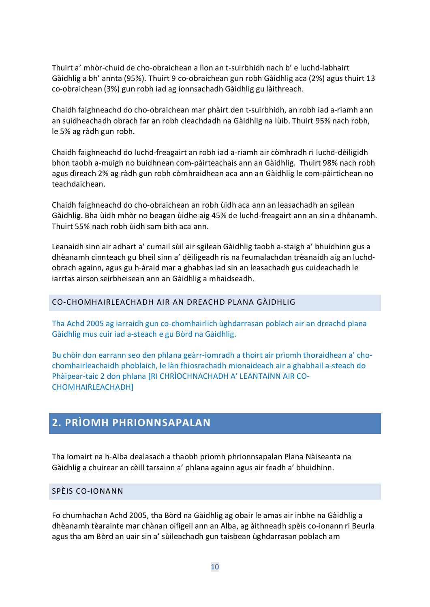Thuirt a' mhòr-chuid de cho-obraichean a lìon an t-suirbhidh nach b' e luchd-labhairt Gàidhlig a bh' annta (95%). Thuirt 9 co-obraichean gun robh Gàidhlig aca (2%) agus thuirt 13 co-obraichean (3%) gun robh iad ag ionnsachadh Gàidhlig gu làithreach.

Chaidh faighneachd do cho-obraichean mar phàirt den t-suirbhidh, an robh iad a-riamh ann an suidheachadh obrach far an robh cleachdadh na Gàidhlig na lùib. Thuirt 95% nach robh, le 5% ag ràdh gun robh.

Chaidh faighneachd do luchd-freagairt an robh iad a-riamh air còmhradh ri luchd-dèiligidh bhon taobh a-muigh no buidhnean com-pàirteachais ann an Gàidhlig. Thuirt 98% nach robh agus dìreach 2% ag ràdh gun robh còmhraidhean aca ann an Gàidhlig le com-pàirtichean no teachdaichean.

Chaidh faighneachd do cho-obraichean an robh ùidh aca ann an leasachadh an sgilean Gàidhlig. Bha ùidh mhòr no beagan ùidhe aig 45% de luchd-freagairt ann an sin a dhèanamh. Thuirt 55% nach robh ùidh sam bith aca ann.

Leanaidh sinn air adhart a' cumail sùil air sgilean Gàidhlig taobh a-staigh a' bhuidhinn gus a dhèanamh cinnteach gu bheil sinn a' dèiligeadh ris na feumalachdan trèanaidh aig an luchdobrach againn, agus gu h-àraid mar a ghabhas iad sin an leasachadh gus cuideachadh le iarrtas airson seirbheisean ann an Gàidhlig a mhaidseadh.

#### <span id="page-9-0"></span>CO-CHOMHAIRLEACHADH AIR AN DREACHD PLANA GÀIDHLIG

Tha Achd 2005 ag iarraidh gun co-chomhairlich ùghdarrasan poblach air an dreachd plana Gàidhlig mus cuir iad a-steach e gu Bòrd na Gàidhlig.

Bu chòir don earrann seo den phlana geàrr-iomradh a thoirt air prìomh thoraidhean a' chochomhairleachaidh phoblaich, le làn fhiosrachadh mionaideach air a ghabhail a-steach do Phàipear-taic 2 don phlana [RI CHRÌOCHNACHADH A' LEANTAINN AIR CO-CHOMHAIRLEACHADH]

# <span id="page-9-1"></span>**2. PRÌOMH PHRIONNSAPALAN**

Tha Iomairt na h-Alba dealasach a thaobh prìomh phrionnsapalan Plana Nàiseanta na Gàidhlig a chuirear an cèill tarsainn a' phlana againn agus air feadh a' bhuidhinn.

#### <span id="page-9-2"></span>SPÈIS CO-IONANN

Fo chumhachan Achd 2005, tha Bòrd na Gàidhlig ag obair le amas air inbhe na Gàidhlig a dhèanamh tèarainte mar chànan oifigeil ann an Alba, ag àithneadh spèis co-ionann ri Beurla agus tha am Bòrd an uair sin a' sùileachadh gun taisbean ùghdarrasan poblach am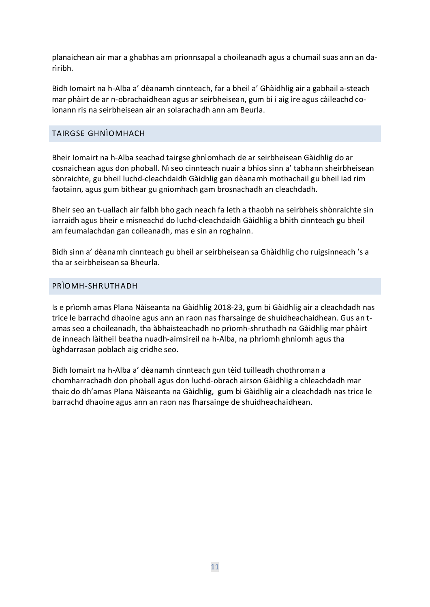planaichean air mar a ghabhas am prionnsapal a choileanadh agus a chumail suas ann an darìribh.

Bidh Iomairt na h-Alba a' dèanamh cinnteach, far a bheil a' Ghàidhlig air a gabhail a-steach mar phàirt de ar n-obrachaidhean agus ar seirbheisean, gum bi i aig ìre agus càileachd coionann ris na seirbheisean air an solarachadh ann am Beurla.

### <span id="page-10-0"></span>TAIRGSE GHNÌOMHACH

Bheir Iomairt na h-Alba seachad tairgse ghnìomhach de ar seirbheisean Gàidhlig do ar cosnaichean agus don phoball. Nì seo cinnteach nuair a bhios sinn a' tabhann sheirbheisean sònraichte, gu bheil luchd-cleachdaidh Gàidhlig gan dèanamh mothachail gu bheil iad rim faotainn, agus gum bithear gu gnìomhach gam brosnachadh an cleachdadh.

Bheir seo an t-uallach air falbh bho gach neach fa leth a thaobh na seirbheis shònraichte sin iarraidh agus bheir e misneachd do luchd-cleachdaidh Gàidhlig a bhith cinnteach gu bheil am feumalachdan gan coileanadh, mas e sin an roghainn.

Bidh sinn a' dèanamh cinnteach gu bheil ar seirbheisean sa Ghàidhlig cho ruigsinneach 's a tha ar seirbheisean sa Bheurla.

#### <span id="page-10-1"></span>PRÌOMH-SHRUTHADH

Is e prìomh amas Plana Nàiseanta na Gàidhlig 2018-23, gum bi Gàidhlig air a cleachdadh nas trice le barrachd dhaoine agus ann an raon nas fharsainge de shuidheachaidhean. Gus an tamas seo a choileanadh, tha àbhaisteachadh no prìomh-shruthadh na Gàidhlig mar phàirt de inneach làitheil beatha nuadh-aimsireil na h-Alba, na phrìomh ghnìomh agus tha ùghdarrasan poblach aig cridhe seo.

Bidh Iomairt na h-Alba a' dèanamh cinnteach gun tèid tuilleadh chothroman a chomharrachadh don phoball agus don luchd-obrach airson Gàidhlig a chleachdadh mar thaic do dh'amas Plana Nàiseanta na Gàidhlig, gum bi Gàidhlig air a cleachdadh nas trice le barrachd dhaoine agus ann an raon nas fharsainge de shuidheachaidhean.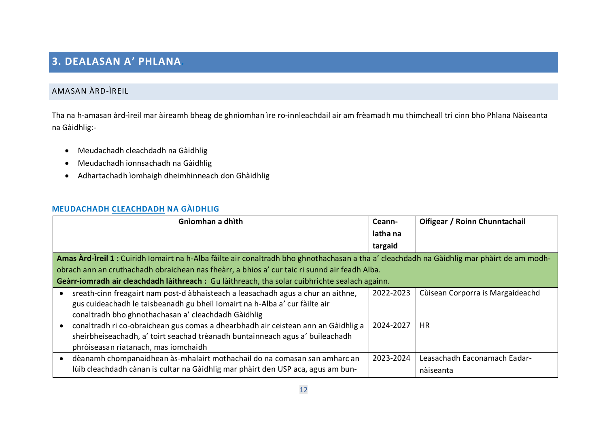# **3. DEALASAN A' PHLANA***.*

# AMASAN ÀRD-ÌREIL

Tha na h-amasan àrd-ìreil mar àireamh bheag de ghnìomhan ìre ro-innleachdail air am frèamadh mu thimcheall trì cinn bho Phlana Nàiseanta na Gàidhlig:-

- Meudachadh cleachdadh na Gàidhlig
- Meudachadh ionnsachadh na Gàidhlig
- Adhartachadh ìomhaigh dheimhinneach don Ghàidhlig

### **MEUDACHADH CLEACHDADH NA GÀIDHLIG**

<span id="page-11-2"></span><span id="page-11-1"></span><span id="page-11-0"></span>

| Gnìomhan a dhìth                                                                                                                            | Ceann-    | Oifigear / Roinn Chunntachail    |
|---------------------------------------------------------------------------------------------------------------------------------------------|-----------|----------------------------------|
|                                                                                                                                             | latha na  |                                  |
|                                                                                                                                             | targaid   |                                  |
| Amas Àrd-Ìreil 1 : Cuiridh Iomairt na h-Alba fàilte air conaltradh bho ghnothachasan a tha a' cleachdadh na Gàidhlig mar phàirt de am modh- |           |                                  |
| obrach ann an cruthachadh obraichean nas fheàrr, a bhios a' cur taic ri sunnd air feadh Alba.                                               |           |                                  |
| Geàrr-iomradh air cleachdadh làithreach : Gu làithreach, tha solar cuibhrichte sealach againn.                                              |           |                                  |
| sreath-cinn freagairt nam post-d àbhaisteach a leasachadh agus a chur an aithne,                                                            | 2022-2023 | Cùisean Corporra is Margaideachd |
| gus cuideachadh le taisbeanadh gu bheil Iomairt na h-Alba a' cur fàilte air                                                                 |           |                                  |
| conaltradh bho ghnothachasan a' cleachdadh Gàidhlig                                                                                         |           |                                  |
| conaltradh ri co-obraichean gus comas a dhearbhadh air ceistean ann an Gàidhlig a                                                           | 2024-2027 | <b>HR</b>                        |
| sheirbheiseachadh, a' toirt seachad trèanadh buntainneach agus a' buileachadh                                                               |           |                                  |
| phròiseasan riatanach, mas iomchaidh                                                                                                        |           |                                  |
| dèanamh chompanaidhean às-mhalairt mothachail do na comasan san amharc an<br>$\bullet$                                                      | 2023-2024 | Leasachadh Eaconamach Eadar-     |
| lùib cleachdadh cànan is cultar na Gàidhlig mar phàirt den USP aca, agus am bun-                                                            |           | nàiseanta                        |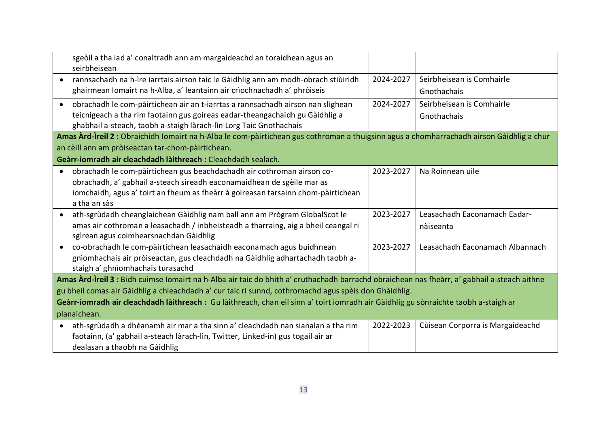| sgeòil a tha iad a' conaltradh ann am margaideachd an toraidhean agus an<br>seirbheisean                                                     |           |                                  |
|----------------------------------------------------------------------------------------------------------------------------------------------|-----------|----------------------------------|
| rannsachadh na h-ìre iarrtais airson taic le Gàidhlig ann am modh-obrach stiùiridh                                                           | 2024-2027 | Seirbheisean is Comhairle        |
| ghairmean Iomairt na h-Alba, a' leantainn air crìochnachadh a' phròiseis                                                                     |           | Gnothachais                      |
| obrachadh le com-pàirtichean air an t-iarrtas a rannsachadh airson nan slighean                                                              | 2024-2027 | Seirbheisean is Comhairle        |
| teicnigeach a tha rim faotainn gus goireas eadar-theangachaidh gu Gàidhlig a                                                                 |           | Gnothachais                      |
| ghabhail a-steach, taobh a-staigh làrach-lìn Lorg Taic Gnothachais                                                                           |           |                                  |
| Amas Àrd-Ìreil 2 : Obraichidh Iomairt na h-Alba le com-pàirtichean gus cothroman a thuigsinn agus a chomharrachadh airson Gàidhlig a chur    |           |                                  |
| an cèill ann am pròiseactan tar-chom-pàirtichean.                                                                                            |           |                                  |
| Geàrr-iomradh air cleachdadh làithreach : Cleachdadh sealach.                                                                                |           |                                  |
| obrachadh le com-pàirtichean gus beachdachadh air cothroman airson co-                                                                       | 2023-2027 | Na Roinnean uile                 |
| obrachadh, a' gabhail a-steach sireadh eaconamaidhean de sgèile mar as                                                                       |           |                                  |
| iomchaidh, agus a' toirt an fheum as fheàrr à goireasan tarsainn chom-pàirtichean                                                            |           |                                  |
| a tha an sàs                                                                                                                                 |           |                                  |
| ath-sgrùdadh cheanglaichean Gàidhlig nam ball ann am Prògram GlobalScot le                                                                   | 2023-2027 | Leasachadh Eaconamach Eadar-     |
| amas air cothroman a leasachadh / inbheisteadh a tharraing, aig a bheil ceangal ri                                                           |           | nàiseanta                        |
| sgìrean agus coimhearsnachdan Gàidhlig                                                                                                       |           |                                  |
| co-obrachadh le com-pàirtichean leasachaidh eaconamach agus buidhnean<br>$\bullet$                                                           | 2023-2027 | Leasachadh Eaconamach Albannach  |
| gnìomhachais air pròiseactan, gus cleachdadh na Gàidhlig adhartachadh taobh a-                                                               |           |                                  |
| staigh a' ghnìomhachais turasachd                                                                                                            |           |                                  |
| Amas Àrd-Ìreil 3 : Bidh cuimse Iomairt na h-Alba air taic do bhith a' cruthachadh barrachd obraichean nas fheàrr, a' gabhail a-steach aithne |           |                                  |
| gu bheil comas air Gàidhlig a chleachdadh a' cur taic ri sunnd, cothromachd agus spèis don Ghàidhlig.                                        |           |                                  |
| Geàrr-iomradh air cleachdadh làithreach : Gu làithreach, chan eil sinn a' toirt iomradh air Gàidhlig gu sònraichte taobh a-staigh ar         |           |                                  |
| planaichean.                                                                                                                                 |           |                                  |
| ath-sgrùdadh a dhèanamh air mar a tha sinn a' cleachdadh nan sianalan a tha rim<br>$\bullet$                                                 | 2022-2023 | Cùisean Corporra is Margaideachd |
| faotainn, (a' gabhail a-steach làrach-lìn, Twitter, Linked-in) gus togail air ar                                                             |           |                                  |
| dealasan a thaobh na Gàidhlig                                                                                                                |           |                                  |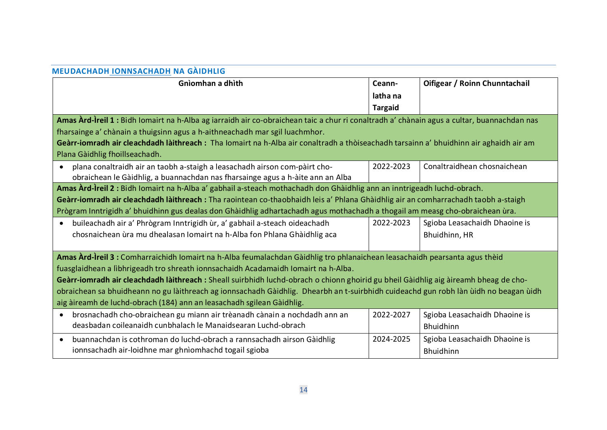### **MEUDACHADH IONNSACHADH NA GÀIDHLIG**

<span id="page-13-0"></span>

| Gnìomhan a dhìth                                                                                                                                                                                                           | Ceann-<br>latha na | Oifigear / Roinn Chunntachail |
|----------------------------------------------------------------------------------------------------------------------------------------------------------------------------------------------------------------------------|--------------------|-------------------------------|
|                                                                                                                                                                                                                            | <b>Targaid</b>     |                               |
| Amas Àrd-Ìreil 1 : Bidh Iomairt na h-Alba ag iarraidh air co-obraichean taic a chur ri conaltradh a' chànain agus a cultar, buannachdan nas<br>fharsainge a' chànain a thuigsinn agus a h-aithneachadh mar sgil luachmhor. |                    |                               |
| Geàrr-iomradh air cleachdadh làithreach: Tha Iomairt na h-Alba air conaltradh a thòiseachadh tarsainn a' bhuidhinn air aghaidh air am                                                                                      |                    |                               |
| Plana Gàidhlig fhoillseachadh.                                                                                                                                                                                             |                    |                               |
| plana conaltraidh air an taobh a-staigh a leasachadh airson com-pàirt cho-<br>$\bullet$                                                                                                                                    | 2022-2023          | Conaltraidhean chosnaichean   |
| obraichean le Gàidhlig, a buannachdan nas fharsainge agus a h-àite ann an Alba                                                                                                                                             |                    |                               |
| Amas Àrd-Ìreil 2 : Bidh Iomairt na h-Alba a' gabhail a-steach mothachadh don Ghàidhlig ann an inntrigeadh luchd-obrach.                                                                                                    |                    |                               |
| Geàrr-iomradh air cleachdadh làithreach : Tha raointean co-thaobhaidh leis a' Phlana Ghàidhlig air an comharrachadh taobh a-staigh                                                                                         |                    |                               |
| Prògram Inntrigidh a' bhuidhinn gus dealas don Ghàidhlig adhartachadh agus mothachadh a thogail am measg cho-obraichean ùra.                                                                                               |                    |                               |
| buileachadh air a' Phrògram Inntrigidh ùr, a' gabhail a-steach oideachadh<br>$\bullet$                                                                                                                                     | 2022-2023          | Sgioba Leasachaidh Dhaoine is |
| chosnaichean ùra mu dhealasan Iomairt na h-Alba fon Phlana Ghàidhlig aca                                                                                                                                                   |                    | Bhuidhinn, HR                 |
| Amas Àrd-Ìreil 3 : Comharraichidh Iomairt na h-Alba feumalachdan Gàidhlig tro phlanaichean leasachaidh pearsanta agus thèid                                                                                                |                    |                               |
| fuasglaidhean a lìbhrigeadh tro shreath ionnsachaidh Acadamaidh Iomairt na h-Alba.                                                                                                                                         |                    |                               |
| Geàrr-iomradh air cleachdadh làithreach : Sheall suirbhidh luchd-obrach o chionn ghoirid gu bheil Gàidhlig aig àireamh bheag de cho-                                                                                       |                    |                               |
| obraichean sa bhuidheann no gu làithreach ag ionnsachadh Gàidhlig. Dhearbh an t-suirbhidh cuideachd gun robh làn ùidh no beagan ùidh                                                                                       |                    |                               |
| aig àireamh de luchd-obrach (184) ann an leasachadh sgilean Gàidhlig.                                                                                                                                                      |                    |                               |
| brosnachadh cho-obraichean gu miann air trèanadh cànain a nochdadh ann an<br>$\bullet$                                                                                                                                     | 2022-2027          | Sgioba Leasachaidh Dhaoine is |
| deasbadan coileanaidh cunbhalach le Manaidsearan Luchd-obrach                                                                                                                                                              |                    | Bhuidhinn                     |
| buannachdan is cothroman do luchd-obrach a rannsachadh airson Gàidhlig<br>$\bullet$                                                                                                                                        | 2024-2025          | Sgioba Leasachaidh Dhaoine is |
| ionnsachadh air-loidhne mar ghnìomhachd togail sgioba                                                                                                                                                                      |                    | <b>Bhuidhinn</b>              |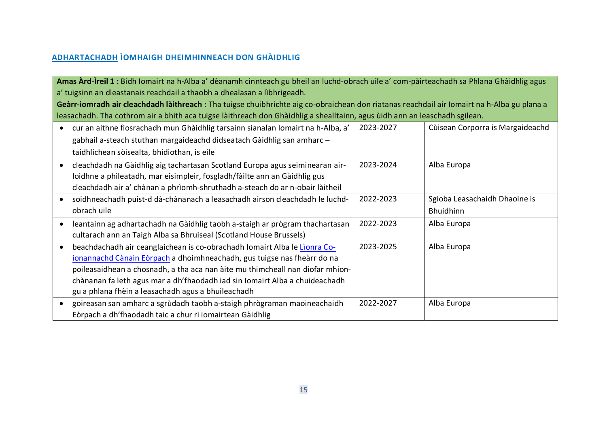### **ADHARTACHADH ÌOMHAIGH DHEIMHINNEACH DON GHÀIDHLIG**

**Amas Àrd-Ìreil 1 :** Bidh Iomairt na h-Alba a' dèanamh cinnteach gu bheil an luchd-obrach uile a' com-pàirteachadh sa Phlana Ghàidhlig agus a' tuigsinn an dleastanais reachdail a thaobh a dhealasan a lìbhrigeadh.

**Geàrr-iomradh air cleachdadh làithreach :** Tha tuigse chuibhrichte aig co-obraichean don riatanas reachdail air Iomairt na h-Alba gu plana a leasachadh. Tha cothrom air a bhith aca tuigse làithreach don Ghàidhlig a shealltainn, agus ùidh ann an leaschadh sgilean.

<span id="page-14-0"></span>

| cur an aithne fiosrachadh mun Ghàidhlig tarsainn sianalan Iomairt na h-Alba, a'<br>gabhail a-steach stuthan margaideachd didseatach Gàidhlig san amharc -                                                                                                                                                                                                                  | 2023-2027 | Cùisean Corporra is Margaideachd                  |
|----------------------------------------------------------------------------------------------------------------------------------------------------------------------------------------------------------------------------------------------------------------------------------------------------------------------------------------------------------------------------|-----------|---------------------------------------------------|
| taidhlichean sòisealta, bhidiothan, is eile                                                                                                                                                                                                                                                                                                                                |           |                                                   |
| cleachdadh na Gàidhlig aig tachartasan Scotland Europa agus seiminearan air-<br>loidhne a phìleatadh, mar eisimpleir, fosgladh/fàilte ann an Gàidhlig gus<br>cleachdadh air a' chànan a phrìomh-shruthadh a-steach do ar n-obair làitheil                                                                                                                                  | 2023-2024 | Alba Europa                                       |
| soidhneachadh puist-d dà-chànanach a leasachadh airson cleachdadh le luchd-<br>obrach uile                                                                                                                                                                                                                                                                                 | 2022-2023 | Sgioba Leasachaidh Dhaoine is<br><b>Bhuidhinn</b> |
| leantainn ag adhartachadh na Gàidhlig taobh a-staigh ar prògram thachartasan<br>cultarach ann an Taigh Alba sa Bhruiseal (Scotland House Brussels)                                                                                                                                                                                                                         | 2022-2023 | Alba Europa                                       |
| beachdachadh air ceanglaichean is co-obrachadh Iomairt Alba le Lionra Co-<br>ionannachd Cànain Eòrpach a dhoimhneachadh, gus tuigse nas fheàrr do na<br>poileasaidhean a chosnadh, a tha aca nan àite mu thimcheall nan diofar mhion-<br>chànanan fa leth agus mar a dh'fhaodadh iad sin Iomairt Alba a chuideachadh<br>gu a phlana fhèin a leasachadh agus a bhuileachadh | 2023-2025 | Alba Europa                                       |
| goireasan san amharc a sgrùdadh taobh a-staigh phrògraman maoineachaidh<br>Eòrpach a dh'fhaodadh taic a chur ri iomairtean Gàidhlig                                                                                                                                                                                                                                        | 2022-2027 | Alba Europa                                       |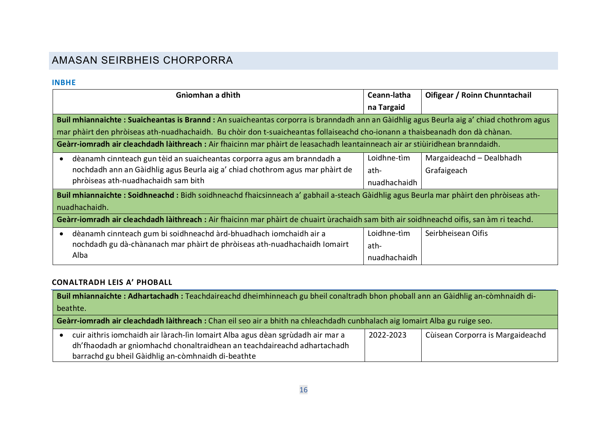# AMASAN SEIRBHEIS CHORPORRA

#### **INBHE**

| Gnìomhan a dhìth                                                                                                                          | Ceann-latha  | Oifigear / Roinn Chunntachail |  |
|-------------------------------------------------------------------------------------------------------------------------------------------|--------------|-------------------------------|--|
|                                                                                                                                           | na Targaid   |                               |  |
| Buil mhiannaichte : Suaicheantas is Brannd : An suaicheantas corporra is branndadh ann an Gàidhlig agus Beurla aig a' chiad chothrom agus |              |                               |  |
| mar phàirt den phròiseas ath-nuadhachaidh. Bu chòir don t-suaicheantas follaiseachd cho-ionann a thaisbeanadh don dà chànan.              |              |                               |  |
| Geàrr-iomradh air cleachdadh làithreach : Air fhaicinn mar phàirt de leasachadh leantainneach air ar stiùiridhean branndaidh.             |              |                               |  |
| dèanamh cinnteach gun tèid an suaicheantas corporra agus am branndadh a                                                                   | Loidhne-tìm  | Margaideachd - Dealbhadh      |  |
| nochdadh ann an Gàidhlig agus Beurla aig a' chiad chothrom agus mar phàirt de                                                             | ath-         | Grafaigeach                   |  |
| phròiseas ath-nuadhachaidh sam bith                                                                                                       | nuadhachaidh |                               |  |
| Buil mhiannaichte: Soidhneachd: Bidh soidhneachd fhaicsinneach a' gabhail a-steach Gàidhlig agus Beurla mar phàirt den phròiseas ath-     |              |                               |  |
| nuadhachaidh.                                                                                                                             |              |                               |  |
| Geàrr-iomradh air cleachdadh làithreach : Air fhaicinn mar phàirt de chuairt ùrachaidh sam bith air soidhneachd oifis, san àm ri teachd.  |              |                               |  |
| dèanamh cinnteach gum bi soidhneachd àrd-bhuadhach iomchaidh air a<br>$\bullet$                                                           | Loidhne-tìm  | Seirbheisean Oifis            |  |
| nochdadh gu dà-chànanach mar phàirt de phròiseas ath-nuadhachaidh Iomairt                                                                 | ath-         |                               |  |
| Alba                                                                                                                                      | nuadhachaidh |                               |  |

## <span id="page-15-1"></span><span id="page-15-0"></span>**CONALTRADH LEIS A' PHOBALL**

| Buil mhiannaichte: Adhartachadh: Teachdaireachd dheimhinneach gu bheil conaltradh bhon phoball ann an Gàidhlig an-còmhnaidh di- |                                                                                                                                                                                                                   |           |                                  |
|---------------------------------------------------------------------------------------------------------------------------------|-------------------------------------------------------------------------------------------------------------------------------------------------------------------------------------------------------------------|-----------|----------------------------------|
| beathte.                                                                                                                        |                                                                                                                                                                                                                   |           |                                  |
| Geàrr-iomradh air cleachdadh làithreach : Chan eil seo air a bhith na chleachdadh cunbhalach aig lomairt Alba gu ruige seo.     |                                                                                                                                                                                                                   |           |                                  |
|                                                                                                                                 | cuir aithris iomchaidh air làrach-lìn Iomairt Alba agus dèan sgrùdadh air mar a<br>dh'fhaodadh ar gnìomhachd chonaltraidhean an teachdaireachd adhartachadh<br>barrachd gu bheil Gàidhlig an-còmhnaidh di-beathte | 2022-2023 | Cùisean Corporra is Margaideachd |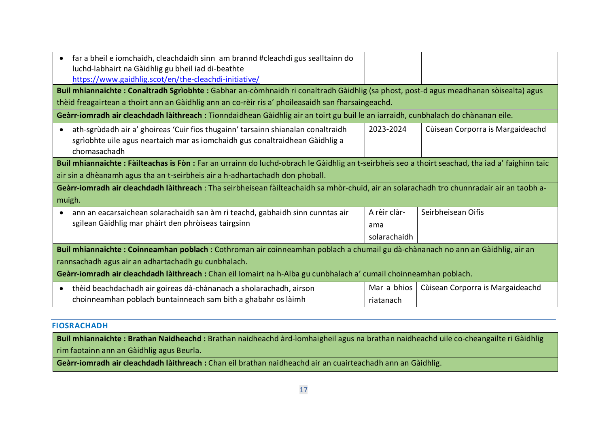| far a bheil e iomchaidh, cleachdaidh sinn am brannd #cleachdi gus sealltainn do<br>$\bullet$<br>luchd-labhairt na Gàidhlig gu bheil iad di-beathte<br>https://www.gaidhlig.scot/en/the-cleachdi-initiative/                                    |              |                                  |  |  |
|------------------------------------------------------------------------------------------------------------------------------------------------------------------------------------------------------------------------------------------------|--------------|----------------------------------|--|--|
| Buil mhiannaichte: Conaltradh Sgrìobhte: Gabhar an-còmhnaidh ri conaltradh Gàidhlig (sa phost, post-d agus meadhanan sòisealta) agus                                                                                                           |              |                                  |  |  |
| thèid freagairtean a thoirt ann an Gàidhlig ann an co-rèir ris a' phoileasaidh san fharsaingeachd.                                                                                                                                             |              |                                  |  |  |
| Geàrr-iomradh air cleachdadh làithreach: Tionndaidhean Gàidhlig air an toirt gu buil le an iarraidh, cunbhalach do chànanan eile.                                                                                                              |              |                                  |  |  |
| 2023-2024<br>Cùisean Corporra is Margaideachd<br>ath-sgrùdadh air a' ghoireas 'Cuir fios thugainn' tarsainn shianalan conaltraidh<br>$\bullet$<br>sgrìobhte uile agus neartaich mar as iomchaidh gus conaltraidhean Gàidhlig a<br>chomasachadh |              |                                  |  |  |
| Buil mhiannaichte: Fàilteachas is Fòn: Far an urrainn do luchd-obrach le Gàidhlig an t-seirbheis seo a thoirt seachad, tha iad a' faighinn taic                                                                                                |              |                                  |  |  |
| air sin a dhèanamh agus tha an t-seirbheis air a h-adhartachadh don phoball.                                                                                                                                                                   |              |                                  |  |  |
| Geàrr-iomradh air cleachdadh làithreach: Tha seirbheisean fàilteachaidh sa mhòr-chuid, air an solarachadh tro chunnradair air an taobh a-                                                                                                      |              |                                  |  |  |
| muigh.                                                                                                                                                                                                                                         |              |                                  |  |  |
| ann an eacarsaichean solarachaidh san àm ri teachd, gabhaidh sinn cunntas air<br>$\bullet$                                                                                                                                                     | A rèir clàr- | Seirbheisean Oifis               |  |  |
| sgilean Gàidhlig mar phàirt den phròiseas tairgsinn                                                                                                                                                                                            | ama          |                                  |  |  |
|                                                                                                                                                                                                                                                | solarachaidh |                                  |  |  |
| Buil mhiannaichte: Coinneamhan poblach: Cothroman air coinneamhan poblach a chumail gu dà-chànanach no ann an Gàidhlig, air an                                                                                                                 |              |                                  |  |  |
| rannsachadh agus air an adhartachadh gu cunbhalach.                                                                                                                                                                                            |              |                                  |  |  |
| Geàrr-iomradh air cleachdadh làithreach : Chan eil Iomairt na h-Alba gu cunbhalach a' cumail choinneamhan poblach.                                                                                                                             |              |                                  |  |  |
| thèid beachdachadh air goireas dà-chànanach a sholarachadh, airson<br>$\bullet$                                                                                                                                                                | Mar a bhios  | Cùisean Corporra is Margaideachd |  |  |
| choinneamhan poblach buntainneach sam bith a ghabahr os làimh                                                                                                                                                                                  | riatanach    |                                  |  |  |

#### **FIOSRACHADH**

**Buil mhiannaichte : Brathan Naidheachd :** Brathan naidheachd àrd-ìomhaigheil agus na brathan naidheachd uile co-cheangailte ri Gàidhlig rim faotainn ann an Gàidhlig agus Beurla.

<span id="page-16-0"></span>**Geàrr-iomradh air cleachdadh làithreach :** Chan eil brathan naidheachd air an cuairteachadh ann an Gàidhlig.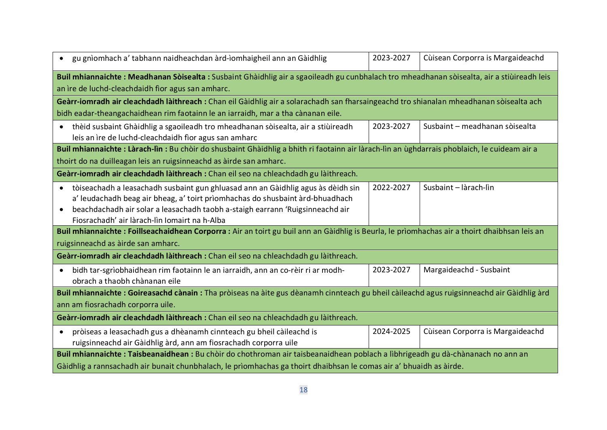| gu gnìomhach a' tabhann naidheachdan àrd-ìomhaigheil ann an Gàidhlig<br>$\bullet$                                                                                                                                                                                                                                             | 2023-2027 | Cùisean Corporra is Margaideachd |  |  |
|-------------------------------------------------------------------------------------------------------------------------------------------------------------------------------------------------------------------------------------------------------------------------------------------------------------------------------|-----------|----------------------------------|--|--|
| Buil mhiannaichte: Meadhanan Sòisealta: Susbaint Ghàidhlig air a sgaoileadh gu cunbhalach tro mheadhanan sòisealta, air a stiùireadh leis<br>an ìre de luchd-cleachdaidh fìor agus san amharc.                                                                                                                                |           |                                  |  |  |
| Geàrr-iomradh air cleachdadh làithreach: Chan eil Gàidhlig air a solarachadh san fharsaingeachd tro shianalan mheadhanan sòisealta ach                                                                                                                                                                                        |           |                                  |  |  |
| bidh eadar-theangachaidhean rim faotainn le an iarraidh, mar a tha cànanan eile.                                                                                                                                                                                                                                              |           |                                  |  |  |
| thèid susbaint Ghàidhlig a sgaoileadh tro mheadhanan sòisealta, air a stiùireadh<br>$\bullet$<br>leis an ìre de luchd-cleachdaidh fìor agus san amharc                                                                                                                                                                        | 2023-2027 | Susbaint - meadhanan sòisealta   |  |  |
| Buil mhiannaichte: Làrach-lìn: Bu chòir do shusbaint Ghàidhlig a bhith ri faotainn air làrach-lìn an ùghdarrais phoblaich, le cuideam air a                                                                                                                                                                                   |           |                                  |  |  |
| thoirt do na duilleagan leis an ruigsinneachd as àirde san amharc.                                                                                                                                                                                                                                                            |           |                                  |  |  |
| Geàrr-iomradh air cleachdadh làithreach : Chan eil seo na chleachdadh gu làithreach.                                                                                                                                                                                                                                          |           |                                  |  |  |
| tòiseachadh a leasachadh susbaint gun ghluasad ann an Gàidhlig agus às dèidh sin<br>$\bullet$<br>a' leudachadh beag air bheag, a' toirt prìomhachas do shusbaint àrd-bhuadhach<br>beachdachadh air solar a leasachadh taobh a-staigh earrann 'Ruigsinneachd air<br>$\bullet$<br>Fiosrachadh' air làrach-lìn Iomairt na h-Alba | 2022-2027 | Susbaint - làrach-lìn            |  |  |
| Buil mhiannaichte: Foillseachaidhean Corporra: Air an toirt gu buil ann an Gàidhlig is Beurla, le prìomhachas air a thoirt dhaibhsan leis an                                                                                                                                                                                  |           |                                  |  |  |
| ruigsinneachd as àirde san amharc.                                                                                                                                                                                                                                                                                            |           |                                  |  |  |
| Geàrr-iomradh air cleachdadh làithreach : Chan eil seo na chleachdadh gu làithreach.                                                                                                                                                                                                                                          |           |                                  |  |  |
| bidh tar-sgrìobhaidhean rim faotainn le an iarraidh, ann an co-rèir ri ar modh-<br>$\bullet$<br>obrach a thaobh chànanan eile                                                                                                                                                                                                 | 2023-2027 | Margaideachd - Susbaint          |  |  |
| Buil mhiannaichte: Goireasachd cànain: Tha pròiseas na àite gus dèanamh cinnteach gu bheil càileachd agus ruigsinneachd air Gàidhlig àrd<br>ann am fiosrachadh corporra uile.                                                                                                                                                 |           |                                  |  |  |
| Geàrr-iomradh air cleachdadh làithreach : Chan eil seo na chleachdadh gu làithreach.                                                                                                                                                                                                                                          |           |                                  |  |  |
| pròiseas a leasachadh gus a dhèanamh cinnteach gu bheil càileachd is<br>$\bullet$<br>ruigsinneachd air Gàidhlig àrd, ann am fiosrachadh corporra uile                                                                                                                                                                         | 2024-2025 | Cùisean Corporra is Margaideachd |  |  |
| Buil mhiannaichte: Taisbeanaidhean: Bu chòir do chothroman air taisbeanaidhean poblach a lìbhrigeadh gu dà-chànanach no ann an                                                                                                                                                                                                |           |                                  |  |  |
| Gàidhlig a rannsachadh air bunait chunbhalach, le prìomhachas ga thoirt dhaibhsan le comas air a' bhuaidh as àirde.                                                                                                                                                                                                           |           |                                  |  |  |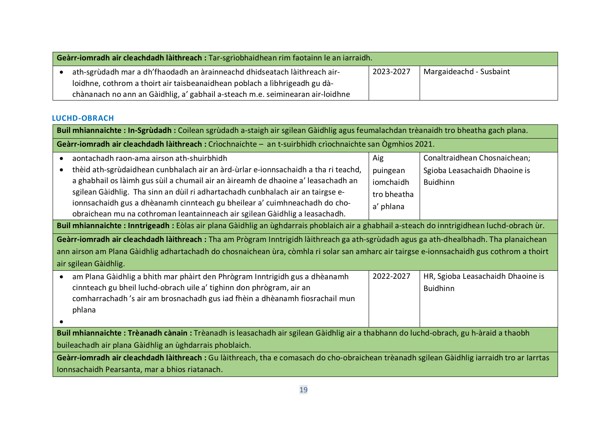| Geàrr-iomradh air cleachdadh làithreach : Tar-sgrìobhaidhean rim faotainn le an iarraidh. |                                                                                |           |                         |
|-------------------------------------------------------------------------------------------|--------------------------------------------------------------------------------|-----------|-------------------------|
|                                                                                           | ath-sgrùdadh mar a dh'fhaodadh an àrainneachd dhidseatach làithreach air-      | 2023-2027 | Margaideachd - Susbaint |
|                                                                                           | loidhne, cothrom a thoirt air taisbeanaidhean poblach a lìbhrigeadh gu dà-     |           |                         |
|                                                                                           | chànanach no ann an Gàidhlig, a' gabhail a-steach m.e. seiminearan air-loidhne |           |                         |

### **LUCHD-OBRACH**

<span id="page-18-0"></span>

| Buil mhiannaichte: In-Sgrùdadh: Coilean sgrùdadh a-staigh air sgilean Gàidhlig agus feumalachdan trèanaidh tro bheatha gach plana.                                                                                                                                                                                                                                                                                                                                                                                                                                                                                                                                                                                                                                                                                                                                                                                                 |                                                          |                                                                                  |  |  |
|------------------------------------------------------------------------------------------------------------------------------------------------------------------------------------------------------------------------------------------------------------------------------------------------------------------------------------------------------------------------------------------------------------------------------------------------------------------------------------------------------------------------------------------------------------------------------------------------------------------------------------------------------------------------------------------------------------------------------------------------------------------------------------------------------------------------------------------------------------------------------------------------------------------------------------|----------------------------------------------------------|----------------------------------------------------------------------------------|--|--|
| Geàrr-iomradh air cleachdadh làithreach : Crìochnaichte - an t-suirbhidh crìochnaichte san Ògmhios 2021.                                                                                                                                                                                                                                                                                                                                                                                                                                                                                                                                                                                                                                                                                                                                                                                                                           |                                                          |                                                                                  |  |  |
| aontachadh raon-ama airson ath-shuirbhidh<br>thèid ath-sgrùdaidhean cunbhalach air an àrd-ùrlar e-ionnsachaidh a tha ri teachd,<br>a ghabhail os làimh gus sùil a chumail air an àireamh de dhaoine a' leasachadh an<br>sgilean Gàidhlig. Tha sinn an dùil ri adhartachadh cunbhalach air an tairgse e-<br>ionnsachaidh gus a dhèanamh cinnteach gu bheilear a' cuimhneachadh do cho-<br>obraichean mu na cothroman leantainneach air sgilean Gàidhlig a leasachadh.<br>Buil mhiannaichte: Inntrigeadh: Eòlas air plana Gàidhlig an ùghdarrais phoblaich air a ghabhail a-steach do inntrigidhean luchd-obrach ùr.<br>Geàrr-iomradh air cleachdadh làithreach : Tha am Prògram Inntrigidh làithreach ga ath-sgrùdadh agus ga ath-dhealbhadh. Tha planaichean<br>ann airson am Plana Gàidhlig adhartachadh do chosnaichean ùra, còmhla ri solar san amharc air tairgse e-ionnsachaidh gus cothrom a thoirt<br>air sgilean Gàidhlig. | Aig<br>puingean<br>iomchaidh<br>tro bheatha<br>a' phlana | Conaltraidhean Chosnaichean;<br>Sgioba Leasachaidh Dhaoine is<br><b>Buidhinn</b> |  |  |
| am Plana Gàidhlig a bhith mar phàirt den Phrògram Inntrigidh gus a dhèanamh<br>٠<br>cinnteach gu bheil luchd-obrach uile a' tighinn don phrògram, air an<br>comharrachadh 's air am brosnachadh gus iad fhèin a dhèanamh fiosrachail mun<br>phlana                                                                                                                                                                                                                                                                                                                                                                                                                                                                                                                                                                                                                                                                                 | 2022-2027                                                | HR, Sgioba Leasachaidh Dhaoine is<br><b>Buidhinn</b>                             |  |  |
| Buil mhiannaichte: Trèanadh cànain: Trèanadh is leasachadh air sgilean Gàidhlig air a thabhann do luchd-obrach, gu h-àraid a thaobh<br>buileachadh air plana Gàidhlig an ùghdarrais phoblaich.<br>Geàrr-iomradh air cleachdadh làithreach : Gu làithreach, tha e comasach do cho-obraichean trèanadh sgilean Gàidhlig iarraidh tro ar Iarrtas<br>Ionnsachaidh Pearsanta, mar a bhios riatanach.                                                                                                                                                                                                                                                                                                                                                                                                                                                                                                                                    |                                                          |                                                                                  |  |  |
|                                                                                                                                                                                                                                                                                                                                                                                                                                                                                                                                                                                                                                                                                                                                                                                                                                                                                                                                    |                                                          |                                                                                  |  |  |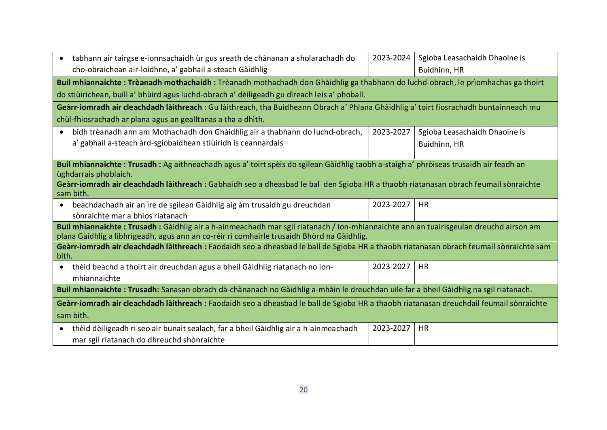<span id="page-19-0"></span>

| tabhann air tairgse e-ionnsachaidh ùr gus sreath de chànanan a sholarachadh do<br>$\bullet$<br>cho-obraichean air-loidhne, a' gabhail a-steach Gàidhlig                                                                             | 2023-2024 | Sgioba Leasachaidh Dhaoine is<br>Buidhinn, HR |  |  |  |
|-------------------------------------------------------------------------------------------------------------------------------------------------------------------------------------------------------------------------------------|-----------|-----------------------------------------------|--|--|--|
| Buil mhiannaichte: Trèanadh mothachaidh: Trèanadh mothachadh don Ghàidhlig ga thabhann do luchd-obrach, le prìomhachas ga thoirt                                                                                                    |           |                                               |  |  |  |
| do stiùirichean, buill a' bhùird agus luchd-obrach a' dèiligeadh gu dìreach leis a' phoball.                                                                                                                                        |           |                                               |  |  |  |
| Geàrr-iomradh air cleachdadh làithreach : Gu làithreach, tha Buidheann Obrach a' Phlana Ghàidhlig a' toirt fiosrachadh buntainneach mu                                                                                              |           |                                               |  |  |  |
| chùl-fhiosrachadh ar plana agus an gealltanas a tha a dhìth.                                                                                                                                                                        |           |                                               |  |  |  |
| bidh trèanadh ann am Mothachadh don Ghàidhlig air a thabhann do luchd-obrach,<br>$\bullet$                                                                                                                                          | 2023-2027 | Sgioba Leasachaidh Dhaoine is                 |  |  |  |
| a' gabhail a-steach àrd-sgiobaidhean stiùiridh is ceannardais                                                                                                                                                                       |           | Buidhinn, HR                                  |  |  |  |
|                                                                                                                                                                                                                                     |           |                                               |  |  |  |
| Buil mhiannaichte: Trusadh: Ag aithneachadh agus a' toirt spèis do sgilean Gàidhlig taobh a-staigh a' phròiseas trusaidh air feadh an<br>ùghdarrais phoblaich.                                                                      |           |                                               |  |  |  |
| Geàrr-iomradh air cleachdadh làithreach : Gabhaidh seo a dheasbad le bal den Sgioba HR a thaobh riatanasan obrach feumail sònraichte<br>sam bith.                                                                                   |           |                                               |  |  |  |
| beachdachadh air an ìre de sgilean Gàidhlig aig àm trusaidh gu dreuchdan<br>$\bullet$<br>sònraichte mar a bhios riatanach                                                                                                           | 2023-2027 | HR                                            |  |  |  |
| Buil mhiannaichte: Trusadh: Gàidhlig air a h-ainmeachadh mar sgil riatanach / ion-mhiannaichte ann an tuairisgeulan dreuchd airson am<br>plana Gàidhlig a lìbhrigeadh, agus ann an co-rèir ri comhairle trusaidh Bhòrd na Gàidhlig. |           |                                               |  |  |  |
| Geàrr-iomradh air cleachdadh làithreach : Faodaidh seo a dheasbad le ball de Sgioba HR a thaobh riatanasan obrach feumail sònraichte sam<br>bith.                                                                                   |           |                                               |  |  |  |
| thèid beachd a thoirt air dreuchdan agus a bheil Gàidhlig riatanach no ion-<br>$\bullet$<br>mhiannaichte                                                                                                                            | 2023-2027 | <b>HR</b>                                     |  |  |  |
| Buil mhiannaichte: Trusadh: Sanasan obrach dà-chànanach no Gàidhlig a-mhàin le dreuchdan uile far a bheil Gàidhlig na sgil riatanach.                                                                                               |           |                                               |  |  |  |
| Geàrr-iomradh air cleachdadh làithreach : Faodaidh seo a dheasbad le ball de Sgioba HR a thaobh riatanasan dreuchdail feumail sònraichte                                                                                            |           |                                               |  |  |  |
| sam bith.                                                                                                                                                                                                                           |           |                                               |  |  |  |
| thèid dèiligeadh ri seo air bunait sealach, far a bheil Gàidhlig air a h-ainmeachadh<br>$\bullet$<br>mar sgil riatanach do dhreuchd shònraichte                                                                                     | 2023-2027 | <b>HR</b>                                     |  |  |  |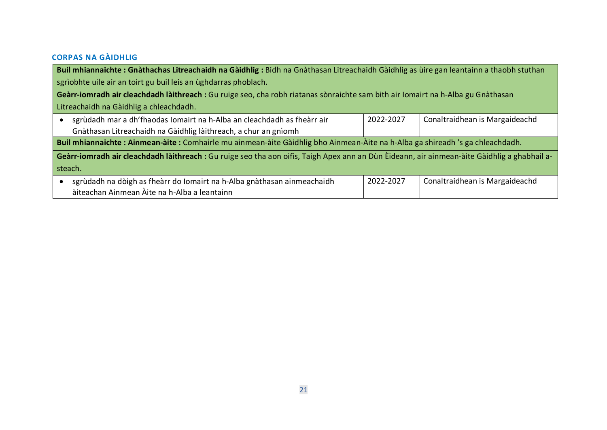# **CORPAS NA GÀIDHLIG**

| Buil mhiannaichte: Gnàthachas Litreachaidh na Gàidhlig: Bidh na Gnàthasan Litreachaidh Gàidhlig as ùire gan leantainn a thaobh stuthan       |           |                                |  |  |
|----------------------------------------------------------------------------------------------------------------------------------------------|-----------|--------------------------------|--|--|
| sgrìobhte uile air an toirt gu buil leis an ùghdarras phoblach.                                                                              |           |                                |  |  |
| Geàrr-iomradh air cleachdadh làithreach : Gu ruige seo, cha robh riatanas sònraichte sam bith air Iomairt na h-Alba gu Gnàthasan             |           |                                |  |  |
| Litreachaidh na Gàidhlig a chleachdadh.                                                                                                      |           |                                |  |  |
| sgrùdadh mar a dh'fhaodas Iomairt na h-Alba an cleachdadh as fheàrr air                                                                      | 2022-2027 | Conaltraidhean is Margaideachd |  |  |
| Gnàthasan Litreachaidh na Gàidhlig làithreach, a chur an gnìomh                                                                              |           |                                |  |  |
| Buil mhiannaichte: Ainmean-àite: Comhairle mu ainmean-àite Gàidhlig bho Ainmean-Àite na h-Alba ga shireadh 's ga chleachdadh.                |           |                                |  |  |
| Geàrr-iomradh air cleachdadh làithreach : Gu ruige seo tha aon oifis, Taigh Apex ann an Dùn Èideann, air ainmean-àite Gàidhlig a ghabhail a- |           |                                |  |  |
| steach.                                                                                                                                      |           |                                |  |  |
| sgrùdadh na dòigh as fheàrr do Iomairt na h-Alba gnàthasan ainmeachaidh                                                                      | 2022-2027 | Conaltraidhean is Margaideachd |  |  |
| àiteachan Ainmean Àite na h-Alba a leantainn                                                                                                 |           |                                |  |  |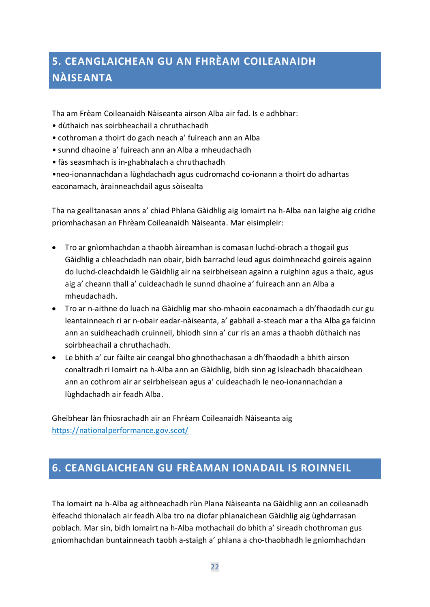# <span id="page-21-0"></span>**5. CEANGLAICHEAN GU AN FHRÈAM COILEANAIDH NÀISEANTA**

Tha am Frèam Coileanaidh Nàiseanta airson Alba air fad. Is e adhbhar:

- dùthaich nas soirbheachail a chruthachadh
- cothroman a thoirt do gach neach a' fuireach ann an Alba
- sunnd dhaoine a' fuireach ann an Alba a mheudachadh
- fàs seasmhach is in-ghabhalach a chruthachadh

•neo-ionannachdan a lùghdachadh agus cudromachd co-ionann a thoirt do adhartas eaconamach, àrainneachdail agus sòisealta

Tha na gealltanasan anns a' chiad Phlana Gàidhlig aig Iomairt na h-Alba nan laighe aig cridhe prìomhachasan an Fhrèam Coileanaidh Nàiseanta. Mar eisimpleir:

- Tro ar gnìomhachdan a thaobh àireamhan is comasan luchd-obrach a thogail gus Gàidhlig a chleachdadh nan obair, bidh barrachd leud agus doimhneachd goireis againn do luchd-cleachdaidh le Gàidhlig air na seirbheisean againn a ruighinn agus a thaic, agus aig a' cheann thall a' cuideachadh le sunnd dhaoine a' fuireach ann an Alba a mheudachadh.
- Tro ar n-aithne do luach na Gàidhlig mar sho-mhaoin eaconamach a dh'fhaodadh cur gu leantainneach ri ar n-obair eadar-nàiseanta, a' gabhail a-steach mar a tha Alba ga faicinn ann an suidheachadh cruinneil, bhiodh sinn a' cur ris an amas a thaobh dùthaich nas soirbheachail a chruthachadh.
- Le bhith a' cur fàilte air ceangal bho ghnothachasan a dh'fhaodadh a bhith airson conaltradh ri Iomairt na h-Alba ann an Gàidhlig, bidh sinn ag ìsleachadh bhacaidhean ann an cothrom air ar seirbheisean agus a' cuideachadh le neo-ionannachdan a lùghdachadh air feadh Alba.

Gheibhear làn fhiosrachadh air an Fhrèam Coileanaidh Nàiseanta aig <https://nationalperformance.gov.scot/>

# <span id="page-21-1"></span>**6. CEANGLAICHEAN GU FRÈAMAN IONADAIL IS ROINNEIL**

Tha Iomairt na h-Alba ag aithneachadh rùn Plana Nàiseanta na Gàidhlig ann an coileanadh èifeachd thionalach air feadh Alba tro na diofar phlanaichean Gàidhlig aig ùghdarrasan poblach. Mar sin, bidh Iomairt na h-Alba mothachail do bhith a' sireadh chothroman gus gnìomhachdan buntainneach taobh a-staigh a' phlana a cho-thaobhadh le gnìomhachdan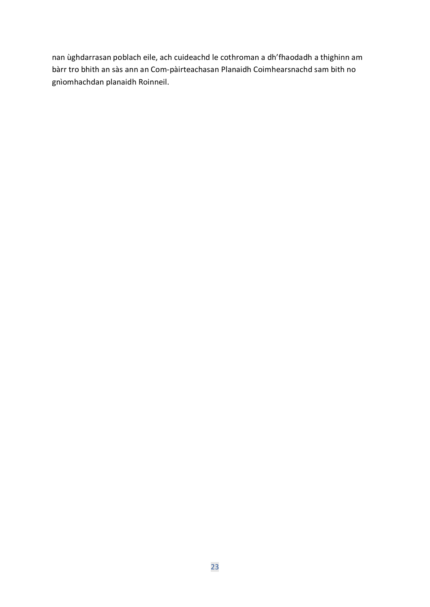nan ùghdarrasan poblach eile, ach cuideachd le cothroman a dh'fhaodadh a thighinn am bàrr tro bhith an sàs ann an Com-pàirteachasan Planaidh Coimhearsnachd sam bith no gnìomhachdan planaidh Roinneil.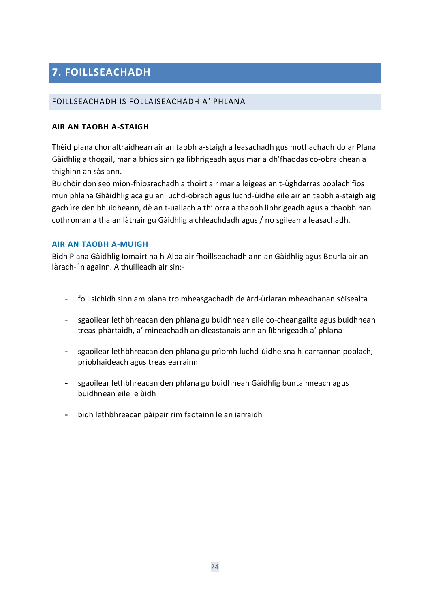# <span id="page-23-0"></span>**7. FOILLSEACHADH**

### <span id="page-23-1"></span>FOILLSEACHADH IS FOLLAISEACHADH A' PHLANA

#### **AIR AN TAOBH A-STAIGH**

Thèid plana chonaltraidhean air an taobh a-staigh a leasachadh gus mothachadh do ar Plana Gàidhlig a thogail, mar a bhios sinn ga lìbhrigeadh agus mar a dh'fhaodas co-obraichean a thighinn an sàs ann.

Bu chòir don seo mion-fhiosrachadh a thoirt air mar a leigeas an t-ùghdarras poblach fios mun phlana Ghàidhlig aca gu an luchd-obrach agus luchd-ùidhe eile air an taobh a-staigh aig gach ìre den bhuidheann, dè an t-uallach a th' orra a thaobh lìbhrigeadh agus a thaobh nan cothroman a tha an làthair gu Gàidhlig a chleachdadh agus / no sgilean a leasachadh.

#### <span id="page-23-2"></span>**AIR AN TAOBH A-MUIGH**

Bidh Plana Gàidhlig Iomairt na h-Alba air fhoillseachadh ann an Gàidhlig agus Beurla air an làrach-lìn againn. A thuilleadh air sin:-

- foillsichidh sinn am plana tro mheasgachadh de àrd-ùrlaran mheadhanan sòisealta
- sgaoilear lethbhreacan den phlana gu buidhnean eile co-cheangailte agus buidhnean treas-phàrtaidh, a' mìneachadh an dleastanais ann an lìbhrigeadh a' phlana
- sgaoilear lethbhreacan den phlana gu prìomh luchd-ùidhe sna h-earrannan poblach, prìobhaideach agus treas earrainn
- sgaoilear lethbhreacan den phlana gu buidhnean Gàidhlig buntainneach agus buidhnean eile le ùidh
- bidh lethbhreacan pàipeir rim faotainn le an iarraidh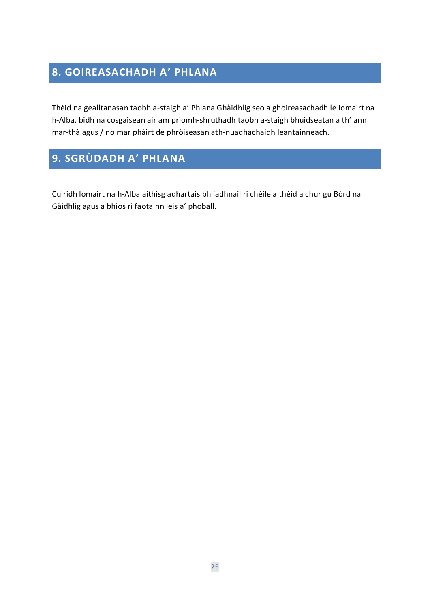# <span id="page-24-0"></span>**8. GOIREASACHADH A' PHLANA**

Thèid na gealltanasan taobh a-staigh a' Phlana Ghàidhlig seo a ghoireasachadh le Iomairt na h-Alba, bidh na cosgaisean air am prìomh-shruthadh taobh a-staigh bhuidseatan a th' ann mar-thà agus / no mar phàirt de phròiseasan ath-nuadhachaidh leantainneach.

# <span id="page-24-1"></span>**9. SGRÙDADH A' PHLANA**

**SOURCING THE PLANE** 

Cuiridh Iomairt na h-Alba aithisg adhartais bhliadhnail ri chèile a thèid a chur gu Bòrd na Gàidhlig agus a bhios ri faotainn leis a' phoball.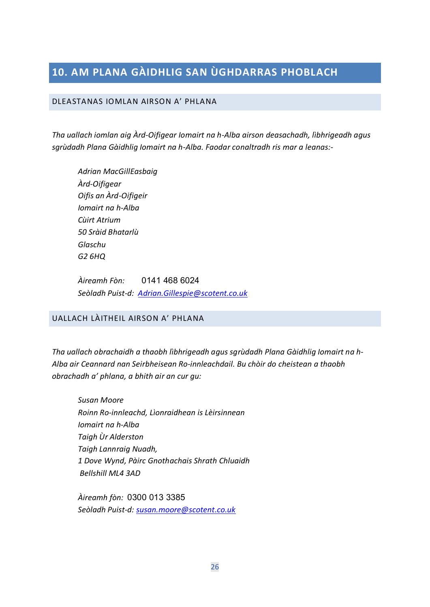# <span id="page-25-0"></span>**10. AM PLANA GÀIDHLIG SAN ÙGHDARRAS PHOBLACH**

#### <span id="page-25-1"></span>DLEASTANAS IOMLAN AIRSON A' PHLANA

*Tha uallach iomlan aig Àrd-Oifigear Iomairt na h-Alba airson deasachadh, lìbhrigeadh agus sgrùdadh Plana Gàidhlig Iomairt na h-Alba. Faodar conaltradh ris mar a leanas:-* 

*Adrian MacGillEasbaig Àrd-Oifigear Oifis an Àrd-Oifigeir Iomairt na h-Alba Cùirt Atrium 50 Sràid Bhatarlù Glaschu G2 6HQ*

*Àireamh Fòn:* 0141 468 6024 *Seòladh Puist-d: [Adrian.Gillespie@scotent.co.uk](mailto:Adrian.Gillespie@scotent.co.uk)*

### <span id="page-25-2"></span>UALLACH LÀITHEIL AIRSON A' PHLANA

*Tha uallach obrachaidh a thaobh lìbhrigeadh agus sgrùdadh Plana Gàidhlig Iomairt na h-Alba air Ceannard nan Seirbheisean Ro-innleachdail. Bu chòir do cheistean a thaobh obrachadh a' phlana, a bhith air an cur gu:*

*Susan Moore Roinn Ro-innleachd, Lìonraidhean is Lèirsinnean Iomairt na h-Alba Taigh Ùr Alderston Taigh Lannraig Nuadh, 1 Dove Wynd, Pàirc Gnothachais Shrath Chluaidh Bellshill ML4 3AD*

*Àireamh fòn:* 0300 013 3385 *Seòladh Puist-d: [susan.moore@scotent.co.uk](mailto:susan.moore@scotent.co.uk)*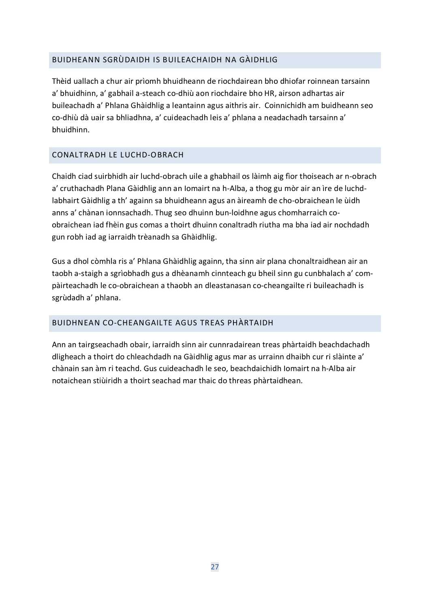### <span id="page-26-0"></span>BUIDHEANN SGRÙDAIDH IS BUILEACHAIDH NA GÀIDHLIG

Thèid uallach a chur air prìomh bhuidheann de riochdairean bho dhiofar roinnean tarsainn a' bhuidhinn, a' gabhail a-steach co-dhiù aon riochdaire bho HR, airson adhartas air buileachadh a' Phlana Ghàidhlig a leantainn agus aithris air. Coinnichidh am buidheann seo co-dhiù dà uair sa bhliadhna, a' cuideachadh leis a' phlana a neadachadh tarsainn a' bhuidhinn.

## <span id="page-26-1"></span>CONALTRADH LE LUCHD-OBRACH

Chaidh ciad suirbhidh air luchd-obrach uile a ghabhail os làimh aig fìor thoiseach ar n-obrach a' cruthachadh Plana Gàidhlig ann an Iomairt na h-Alba, a thog gu mòr air an ìre de luchdlabhairt Gàidhlig a th' againn sa bhuidheann agus an àireamh de cho-obraichean le ùidh anns a' chànan ionnsachadh. Thug seo dhuinn bun-loidhne agus chomharraich coobraichean iad fhèin gus comas a thoirt dhuinn conaltradh riutha ma bha iad air nochdadh gun robh iad ag iarraidh trèanadh sa Ghàidhlig.

Gus a dhol còmhla ris a' Phlana Ghàidhlig againn, tha sinn air plana chonaltraidhean air an taobh a-staigh a sgrìobhadh gus a dhèanamh cinnteach gu bheil sinn gu cunbhalach a' compàirteachadh le co-obraichean a thaobh an dleastanasan co-cheangailte ri buileachadh is sgrùdadh a' phlana.

## <span id="page-26-2"></span>BUIDHNEAN CO-CHEANGAILTE AGUS TREAS PHÀRTAIDH

Ann an tairgseachadh obair, iarraidh sinn air cunnradairean treas phàrtaidh beachdachadh dligheach a thoirt do chleachdadh na Gàidhlig agus mar as urrainn dhaibh cur ri slàinte a' chànain san àm ri teachd. Gus cuideachadh le seo, beachdaichidh Iomairt na h-Alba air notaichean stiùiridh a thoirt seachad mar thaic do threas phàrtaidhean.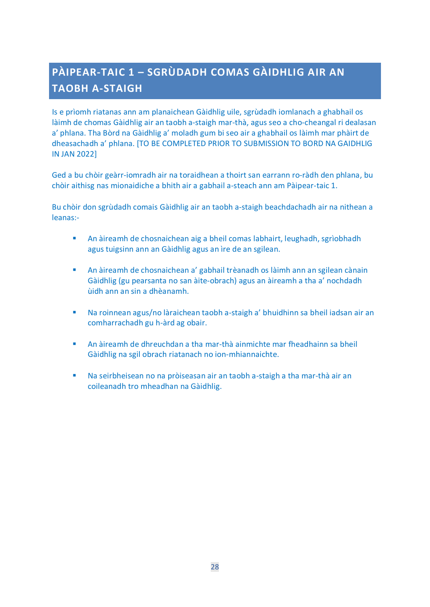# <span id="page-27-0"></span>**PÀIPEAR-TAIC 1 – SGRÙDADH COMAS GÀIDHLIG AIR AN TAOBH A-STAIGH**

Is e prìomh riatanas ann am planaichean Gàidhlig uile, sgrùdadh iomlanach a ghabhail os làimh de chomas Gàidhlig air an taobh a-staigh mar-thà, agus seo a cho-cheangal ri dealasan a' phlana. Tha Bòrd na Gàidhlig a' moladh gum bi seo air a ghabhail os làimh mar phàirt de dheasachadh a' phlana. [TO BE COMPLETED PRIOR TO SUBMISSION TO BORD NA GAIDHLIG IN JAN 2022]

Ged a bu chòir geàrr-iomradh air na toraidhean a thoirt san earrann ro-ràdh den phlana, bu chòir aithisg nas mionaidiche a bhith air a gabhail a-steach ann am Pàipear-taic 1.

Bu chòir don sgrùdadh comais Gàidhlig air an taobh a-staigh beachdachadh air na nithean a leanas:-

- An àireamh de chosnaichean aig a bheil comas labhairt, leughadh, sgrìobhadh agus tuigsinn ann an Gàidhlig agus an ìre de an sgilean.
- An àireamh de chosnaichean a' gabhail trèanadh os làimh ann an sgilean cànain Gàidhlig (gu pearsanta no san àite-obrach) agus an àireamh a tha a' nochdadh ùidh ann an sin a dhèanamh.
- Na roinnean agus/no làraichean taobh a-staigh a' bhuidhinn sa bheil iadsan air an comharrachadh gu h-àrd ag obair.
- An àireamh de dhreuchdan a tha mar-thà ainmichte mar fheadhainn sa bheil Gàidhlig na sgil obrach riatanach no ion-mhiannaichte.
- Na seirbheisean no na pròiseasan air an taobh a-staigh a tha mar-thà air an coileanadh tro mheadhan na Gàidhlig.